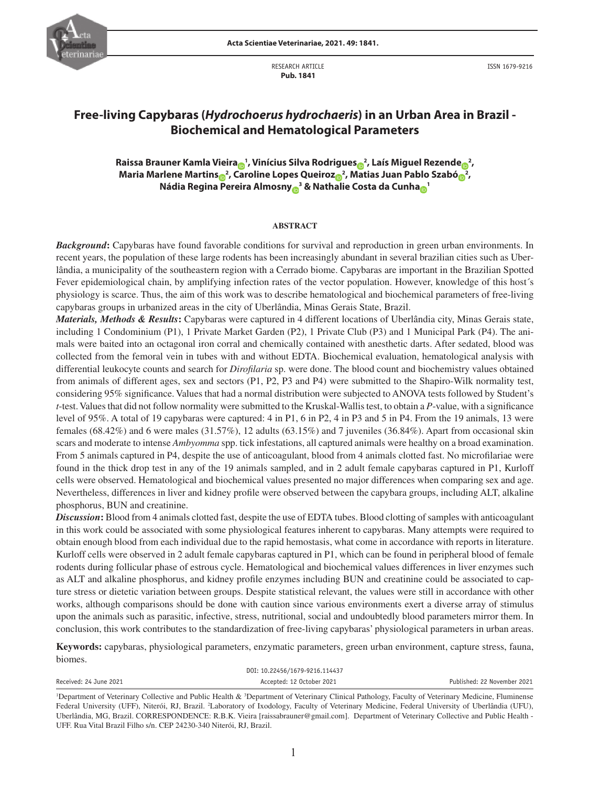

RESEARCH ARTICLE  **Pub. 1841**

ISSN 1679-9216

# **Free-living Capybaras (***Hydrochoerus hydrochaeris***) in an Urban Area in Brazil - Biochemical and Hematological Parameters**

**R[a](https://orcid.org/0000-0002-9141-6655)i[s](https://orcid.org/0000-0003-4093-4636)sa Braun[e](https://orcid.org/0000-0002-4030-9980)r Kamla Vieira** $_{\text{O}}$ **1, Vinícius Silva Rodrigues** $_{\text{O}}$ **2, Laís Miguel Rezende** $_{\text{O}}$ **2, Maria Marlene Martin[s](http://: http://orcid.org/0000-0002-2572-8159)<sub>®</sub><sup>2</sup>, Caroline Lopes Queiro[z](https://orcid.org/0000-0002-4518-219X)<sub>®</sub><sup>2</sup>, Matias Juan Pablo Szab[ó](https://orcid.org/0000-0001-8642-3968)<sub>®</sub><sup>2</sup>, Nádia Regina Pereira Almosn[y](https://orcid.org/0000-0001-7043-0717) <sup>3</sup> & Nathalie Costa da Cunh[a](https://orcid.org/0000-0003-0582-5098) <sup>1</sup>**

#### **ABSTRACT**

*Background***:** Capybaras have found favorable conditions for survival and reproduction in green urban environments. In recent years, the population of these large rodents has been increasingly abundant in several brazilian cities such as Uberlândia, a municipality of the southeastern region with a Cerrado biome. Capybaras are important in the Brazilian Spotted Fever epidemiological chain, by amplifying infection rates of the vector population. However, knowledge of this host's physiology is scarce. Thus, the aim of this work was to describe hematological and biochemical parameters of free-living capybaras groups in urbanized areas in the city of Uberlândia, Minas Gerais State, Brazil.

*Materials, Methods & Results***:** Capybaras were captured in 4 different locations of Uberlândia city, Minas Gerais state, including 1 Condominium (P1), 1 Private Market Garden (P2), 1 Private Club (P3) and 1 Municipal Park (P4). The animals were baited into an octagonal iron corral and chemically contained with anesthetic darts. After sedated, blood was collected from the femoral vein in tubes with and without EDTA. Biochemical evaluation, hematological analysis with differential leukocyte counts and search for *Dirofilaria* sp. were done. The blood count and biochemistry values obtained from animals of different ages, sex and sectors (P1, P2, P3 and P4) were submitted to the Shapiro-Wilk normality test, considering 95% significance. Values that had a normal distribution were subjected to ANOVA tests followed by Student's *t*-test. Values that did not follow normality were submitted to the Kruskal-Wallis test, to obtain a *P*-value, with a significance level of 95%. A total of 19 capybaras were captured: 4 in P1, 6 in P2, 4 in P3 and 5 in P4. From the 19 animals, 13 were females (68.42%) and 6 were males (31.57%), 12 adults (63.15%) and 7 juveniles (36.84%). Apart from occasional skin scars and moderate to intense *Ambyomma* spp. tick infestations, all captured animals were healthy on a broad examination. From 5 animals captured in P4, despite the use of anticoagulant, blood from 4 animals clotted fast. No microfilariae were found in the thick drop test in any of the 19 animals sampled, and in 2 adult female capybaras captured in P1, Kurloff cells were observed. Hematological and biochemical values presented no major differences when comparing sex and age. Nevertheless, differences in liver and kidney profile were observed between the capybara groups, including ALT, alkaline phosphorus, BUN and creatinine.

*Discussion***:** Blood from 4 animals clotted fast, despite the use of EDTA tubes. Blood clotting of samples with anticoagulant in this work could be associated with some physiological features inherent to capybaras. Many attempts were required to obtain enough blood from each individual due to the rapid hemostasis, what come in accordance with reports in literature. Kurloff cells were observed in 2 adult female capybaras captured in P1, which can be found in peripheral blood of female rodents during follicular phase of estrous cycle. Hematological and biochemical values differences in liver enzymes such as ALT and alkaline phosphorus, and kidney profile enzymes including BUN and creatinine could be associated to capture stress or dietetic variation between groups. Despite statistical relevant, the values were still in accordance with other works, although comparisons should be done with caution since various environments exert a diverse array of stimulus upon the animals such as parasitic, infective, stress, nutritional, social and undoubtedly blood parameters mirror them. In conclusion, this work contributes to the standardization of free-living capybaras' physiological parameters in urban areas.

**Keywords:** capybaras, physiological parameters, enzymatic parameters, green urban environment, capture stress, fauna, biomes.

|                        | DOI: 10.22456/1679-9216.114437                                                                                                                                   |                             |
|------------------------|------------------------------------------------------------------------------------------------------------------------------------------------------------------|-----------------------------|
| Received: 24 June 2021 | Accepted: 12 October 2021                                                                                                                                        | Published: 22 November 2021 |
|                        | <sup>1</sup> Department of Veterinary Collective and Public Health & $3$ Department of Veterinary Clinical Pathology, Faculty of Veterinary Medicine, Fluminense |                             |

Federal University (UFF), Niterói, RJ, Brazil. <sup>2</sup>Laboratory of Ixodology, Faculty of Veterinary Medicine, Federal University of Uberlândia (UFU), Uberlândia, MG, Brazil. CORRESPONDENCE: R.B.K. Vieira [raissabrauner@gmail.com]. Department of Veterinary Collective and Public Health - UFF. Rua Vital Brazil Filho s/n. CEP 24230-340 Niterói, RJ, Brazil.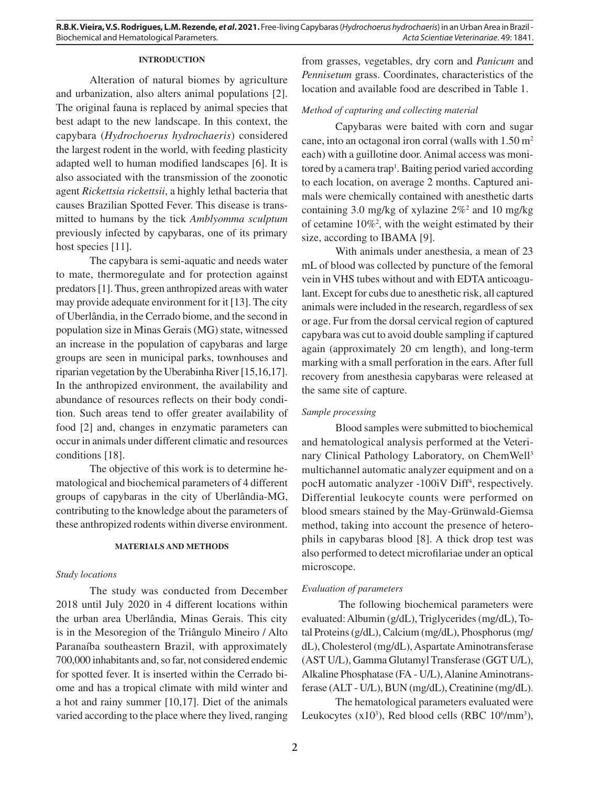### **INTRODUCTION**

Alteration of natural biomes by agriculture and urbanization, also alters animal populations [2]. The original fauna is replaced by animal species that best adapt to the new landscape. In this context, the capybara (*Hydrochoerus hydrochaeris*) considered the largest rodent in the world, with feeding plasticity adapted well to human modified landscapes [6]. It is also associated with the transmission of the zoonotic agent *Rickettsia rickettsii*, a highly lethal bacteria that causes Brazilian Spotted Fever. This disease is transmitted to humans by the tick *Amblyomma sculptum* previously infected by capybaras, one of its primary host species [11].

The capybara is semi-aquatic and needs water to mate, thermoregulate and for protection against predators [1]. Thus, green anthropized areas with water may provide adequate environment for it [13]. The city of Uberlândia, in the Cerrado biome, and the second in population size in Minas Gerais (MG) state, witnessed an increase in the population of capybaras and large groups are seen in municipal parks, townhouses and riparian vegetation by the Uberabinha River [15,16,17]. In the anthropized environment, the availability and abundance of resources reflects on their body condition. Such areas tend to offer greater availability of food [2] and, changes in enzymatic parameters can occur in animals under different climatic and resources conditions [18].

The objective of this work is to determine hematological and biochemical parameters of 4 different groups of capybaras in the city of Uberlândia-MG, contributing to the knowledge about the parameters of these anthropized rodents within diverse environment.

## **MATERIALS AND METHODS**

#### *Study locations*

The study was conducted from December 2018 until July 2020 in 4 different locations within the urban area Uberlândia, Minas Gerais. This city is in the Mesoregion of the Triângulo Mineiro / Alto Paranaíba southeastern Brazil, with approximately 700,000 inhabitants and, so far, not considered endemic for spotted fever. It is inserted within the Cerrado biome and has a tropical climate with mild winter and a hot and rainy summer [10,17]. Diet of the animals varied according to the place where they lived, ranging from grasses, vegetables, dry corn and *Panicum* and *Pennisetum* grass. Coordinates, characteristics of the location and available food are described in Table 1.

## *Method of capturing and collecting material*

Capybaras were baited with corn and sugar cane, into an octagonal iron corral (walls with  $1.50 \text{ m}^2$ ) each) with a guillotine door. Animal access was monitored by a camera trap<sup>1</sup>. Baiting period varied according to each location, on average 2 months. Captured animals were chemically contained with anesthetic darts containing 3.0 mg/kg of xylazine  $2\%$ <sup>2</sup> and 10 mg/kg of cetamine 10%2 , with the weight estimated by their size, according to IBAMA [9].

With animals under anesthesia, a mean of 23 mL of blood was collected by puncture of the femoral vein in VHS tubes without and with EDTA anticoagulant. Except for cubs due to anesthetic risk, all captured animals were included in the research, regardless of sex or age. Fur from the dorsal cervical region of captured capybara was cut to avoid double sampling if captured again (approximately 20 cm length), and long-term marking with a small perforation in the ears. After full recovery from anesthesia capybaras were released at the same site of capture.

#### *Sample processing*

Blood samples were submitted to biochemical and hematological analysis performed at the Veterinary Clinical Pathology Laboratory, on ChemWell3 multichannel automatic analyzer equipment and on a pocH automatic analyzer -100iV Diff<sup>4</sup>, respectively. Differential leukocyte counts were performed on blood smears stained by the May-Grünwald-Giemsa method, taking into account the presence of heterophils in capybaras blood [8]. A thick drop test was also performed to detect microfilariae under an optical microscope.

#### *Evaluation of parameters*

 The following biochemical parameters were evaluated: Albumin (g/dL), Triglycerides (mg/dL), Total Proteins (g/dL), Calcium (mg/dL), Phosphorus (mg/ dL), Cholesterol (mg/dL), Aspartate Aminotransferase (AST U/L), Gamma Glutamyl Transferase (GGT U/L), Alkaline Phosphatase (FA - U/L), Alanine Aminotransferase (ALT - U/L), BUN (mg/dL), Creatinine (mg/dL).

The hematological parameters evaluated were Leukocytes  $(x10^3)$ , Red blood cells (RBC  $10^6/\text{mm}^3$ ),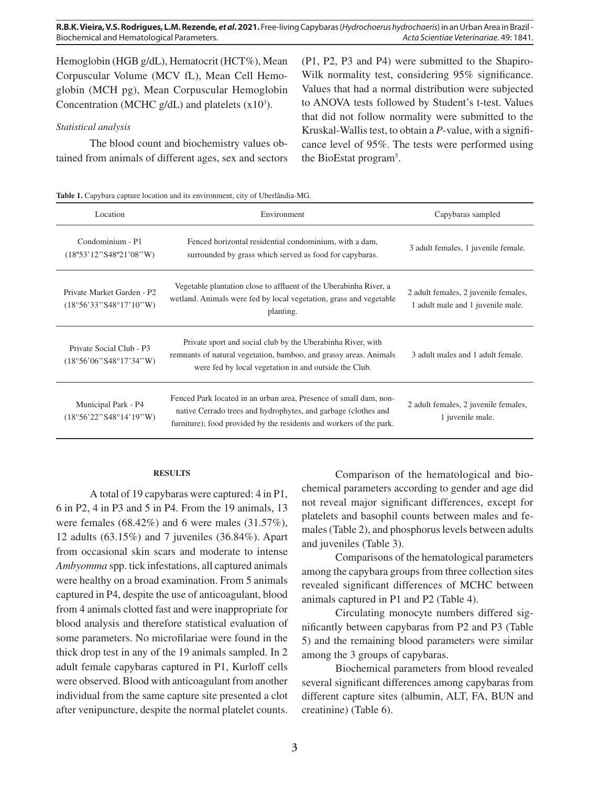Hemoglobin (HGB g/dL), Hematocrit (HCT%), Mean Corpuscular Volume (MCV fL), Mean Cell Hemoglobin (MCH pg), Mean Corpuscular Hemoglobin Concentration (MCHC  $g/dL$ ) and platelets  $(x10<sup>3</sup>)$ .

## *Statistical analysis*

The blood count and biochemistry values obtained from animals of different ages, sex and sectors (P1, P2, P3 and P4) were submitted to the Shapiro-Wilk normality test, considering 95% significance. Values that had a normal distribution were subjected to ANOVA tests followed by Student's t-test. Values that did not follow normality were submitted to the Kruskal-Wallis test, to obtain a *P*-value, with a significance level of 95%. The tests were performed using the BioEstat program5 .

**Table 1.** Capybara capture location and its environment, city of Uberlândia-MG.

| Location                                             | Environment                                                                                                                                                                                                | Capybaras sampled                                                         |
|------------------------------------------------------|------------------------------------------------------------------------------------------------------------------------------------------------------------------------------------------------------------|---------------------------------------------------------------------------|
| Condominium - P1<br>(18°53'12"S48°21'08"W)           | Fenced horizontal residential condominium, with a dam,<br>surrounded by grass which served as food for capybaras.                                                                                          | 3 adult females, 1 juvenile female.                                       |
| Private Market Garden - P2<br>(18°56'33"S48°17'10"W) | Vegetable plantation close to affluent of the Uberabinha River, a<br>wetland. Animals were fed by local vegetation, grass and vegetable<br>planting.                                                       | 2 adult females, 2 juvenile females,<br>1 adult male and 1 juvenile male. |
| Private Social Club - P3<br>(18°56°06"S48°17'34"W)   | Private sport and social club by the Uberabinha River, with<br>remnants of natural vegetation, bamboo, and grassy areas. Animals<br>were fed by local vegetation in and outside the Club.                  | 3 adult males and 1 adult female.                                         |
| Municipal Park - P4<br>(18°56'22"S48°14'19"W)        | Fenced Park located in an urban area, Presence of small dam, non-<br>native Cerrado trees and hydrophytes, and garbage (clothes and<br>furniture); food provided by the residents and workers of the park. | 2 adult females, 2 juvenile females,<br>1 juvenile male.                  |

#### **RESULTS**

A total of 19 capybaras were captured: 4 in P1, 6 in P2, 4 in P3 and 5 in P4. From the 19 animals, 13 were females (68.42%) and 6 were males (31.57%), 12 adults (63.15%) and 7 juveniles (36.84%). Apart from occasional skin scars and moderate to intense *Ambyomma* spp. tick infestations, all captured animals were healthy on a broad examination. From 5 animals captured in P4, despite the use of anticoagulant, blood from 4 animals clotted fast and were inappropriate for blood analysis and therefore statistical evaluation of some parameters. No microfilariae were found in the thick drop test in any of the 19 animals sampled. In 2 adult female capybaras captured in P1, Kurloff cells were observed. Blood with anticoagulant from another individual from the same capture site presented a clot after venipuncture, despite the normal platelet counts.

Comparison of the hematological and biochemical parameters according to gender and age did not reveal major significant differences, except for platelets and basophil counts between males and females (Table 2), and phosphorus levels between adults and juveniles (Table 3).

Comparisons of the hematological parameters among the capybara groups from three collection sites revealed significant differences of MCHC between animals captured in P1 and P2 (Table 4).

Circulating monocyte numbers differed significantly between capybaras from P2 and P3 (Table 5) and the remaining blood parameters were similar among the 3 groups of capybaras.

Biochemical parameters from blood revealed several significant differences among capybaras from different capture sites (albumin, ALT, FA, BUN and creatinine) (Table 6).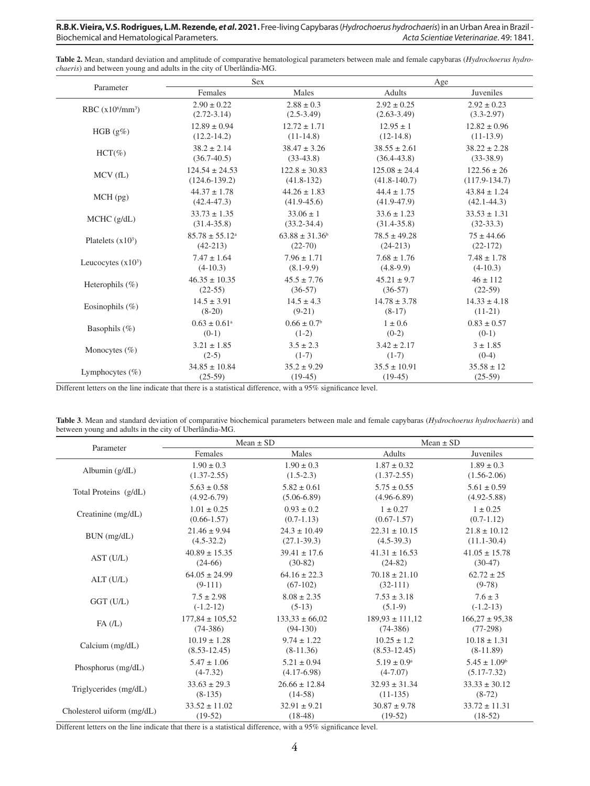| Table 2. Mean, standard deviation and amplitude of comparative hematological parameters between male and female capybaras (Hydrochoerus hydro- |
|------------------------------------------------------------------------------------------------------------------------------------------------|
| <i>chaeris</i> ) and between young and adults in the city of Uberlândia-MG.                                                                    |

| Parameter                 | Sex                          |                             | Age               |                   |  |
|---------------------------|------------------------------|-----------------------------|-------------------|-------------------|--|
|                           | Females                      | Males                       | Adults            | Juveniles         |  |
| RBC $(x10^6/\text{mm}^3)$ | $2.90 \pm 0.22$              | $2.88 \pm 0.3$              | $2.92 \pm 0.25$   | $2.92 \pm 0.23$   |  |
|                           | $(2.72 - 3.14)$              | $(2.5-3.49)$                | $(2.63 - 3.49)$   | $(3.3 - 2.97)$    |  |
| HGB $(g\%)$               | $12.89 \pm 0.94$             | $12.72 \pm 1.71$            | $12.95 \pm 1$     | $12.82 \pm 0.96$  |  |
|                           | $(12.2 - 14.2)$              | $(11-14.8)$                 | $(12-14.8)$       | $(11-13.9)$       |  |
| $HCT(\%)$                 | $38.2 \pm 2.14$              | $38.47 \pm 3.26$            | $38.55 \pm 2.61$  | $38.22 \pm 2.28$  |  |
|                           | $(36.7 - 40.5)$              | $(33-43.8)$                 | $(36.4 - 43.8)$   | $(33-38.9)$       |  |
| MCV(fL)                   | $124.54 \pm 24.53$           | $122.8 \pm 30.83$           | $125.08 \pm 24.4$ | $122.56 \pm 26$   |  |
|                           | $(124.6 - 139.2)$            | $(41.8-132)$                | $(41.8 - 140.7)$  | $(117.9 - 134.7)$ |  |
| MCH(pg)                   | $44.37 \pm 1.78$             | $44.26 \pm 1.83$            | $44.4 \pm 1.75$   | $43.84 \pm 1.24$  |  |
|                           | $(42.4 - 47.3)$              | $(41.9 - 45.6)$             | $(41.9 - 47.9)$   | $(42.1 - 44.3)$   |  |
| MCHC (g/dL)               | $33.73 \pm 1.35$             | $33.06 \pm 1$               | $33.6 \pm 1.23$   | $33.53 \pm 1.31$  |  |
|                           | $(31.4 - 35.8)$              | $(33.2 - 34.4)$             | $(31.4 - 35.8)$   | $(32-33.3)$       |  |
| Platelets $(x10^3)$       | $85.78 \pm 55.12^{\circ}$    | $63.88 \pm 31.36^b$         | $78.5 \pm 49.28$  | $75 \pm 44.66$    |  |
|                           | $(42-213)$                   | $(22-70)$                   | $(24-213)$        | $(22-172)$        |  |
| Leucocytes $(x10^3)$      | $7.47 \pm 1.64$              | $7.96 \pm 1.71$             | $7.68 \pm 1.76$   | $7.48 \pm 1.78$   |  |
|                           | $(4-10.3)$                   | $(8.1-9.9)$                 | $(4.8-9.9)$       | $(4-10.3)$        |  |
| Heterophils $(\%)$        | $46.35 \pm 10.35$            | $45.5 \pm 7.76$             | $45.21 \pm 9.7$   | $46 \pm 112$      |  |
|                           | $(22-55)$                    | $(36-57)$                   | $(36-57)$         | $(22-59)$         |  |
| Eosinophils $(\%)$        | $14.5 \pm 3.91$              | $14.5 \pm 4.3$              | $14.78 \pm 3.78$  | $14.33 \pm 4.18$  |  |
|                           | $(8-20)$                     | $(9-21)$                    | $(8-17)$          | $(11-21)$         |  |
| Basophils $(\%)$          | $0.63 \pm 0.61$ <sup>a</sup> | $0.66 \pm 0.7$ <sup>b</sup> | $1 \pm 0.6$       | $0.83 \pm 0.57$   |  |
|                           | $(0-1)$                      | $(1-2)$                     | $(0-2)$           | $(0-1)$           |  |
| Monocytes $(\% )$         | $3.21 \pm 1.85$              | $3.5 \pm 2.3$               | $3.42 \pm 2.17$   | $3 \pm 1.85$      |  |
|                           | $(2-5)$                      | $(1-7)$                     | $(1-7)$           | $(0-4)$           |  |
| Lymphocytes $(\% )$       | $34.85 \pm 10.84$            | $35.2 \pm 9.29$             | $35.5 \pm 10.91$  | $35.58 \pm 12$    |  |
|                           | $(25-59)$                    | $(19-45)$                   | $(19-45)$         | $(25-59)$         |  |

Different letters on the line indicate that there is a statistical difference, with a 95% significance level.

| Table 3. Mean and standard deviation of comparative biochemical parameters between male and female capybaras (Hydrochoerus hydrochaeris) and |  |  |  |
|----------------------------------------------------------------------------------------------------------------------------------------------|--|--|--|
| between young and adults in the city of Uberlândia-MG.                                                                                       |  |  |  |

|                            | Mean $\pm$ SD       |                    |                        | $Mean \pm SD$      |  |  |
|----------------------------|---------------------|--------------------|------------------------|--------------------|--|--|
| Parameter                  | Females             | Males              | Adults                 | Juveniles          |  |  |
| Albumin $(g/dL)$           | $1.90 \pm 0.3$      | $1.90 \pm 0.3$     | $1.87 \pm 0.32$        | $1.89 \pm 0.3$     |  |  |
|                            | $(1.37 - 2.55)$     | $(1.5-2.3)$        | $(1.37 - 2.55)$        | $(1.56 - 2.06)$    |  |  |
| Total Proteins (g/dL)      | $5.63 \pm 0.58$     | $5.82 \pm 0.61$    | $5.75 \pm 0.55$        | $5.61 \pm 0.59$    |  |  |
|                            | $(4.92 - 6.79)$     | $(5.06-6.89)$      | $(4.96-6.89)$          | $(4.92 - 5.88)$    |  |  |
| Creatinine (mg/dL)         | $1.01 \pm 0.25$     | $0.93 \pm 0.2$     | $1 \pm 0.27$           | $1 \pm 0.25$       |  |  |
|                            | $(0.66 - 1.57)$     | $(0.7-1.13)$       | $(0.67 - 1.57)$        | $(0.7-1.12)$       |  |  |
| BUN (mg/dL)                | $21.46 \pm 9.94$    | $24.3 \pm 10.49$   | $22.31 \pm 10.15$      | $21.8 \pm 10.12$   |  |  |
|                            | $(4.5-32.2)$        | $(27.1 - 39.3)$    | $(4.5-39.3)$           | $(11.1-30.4)$      |  |  |
| AST (U/L)                  | $40.89 \pm 15.35$   | $39.41 \pm 17.6$   | $41.31 \pm 16.53$      | $41.05 \pm 15.78$  |  |  |
|                            | $(24-66)$           | $(30-82)$          | $(24-82)$              | $(30-47)$          |  |  |
| ALT (U/L)                  | $64.05 \pm 24.99$   | $64.16 \pm 22.3$   | $70.18 \pm 21.10$      | $62.72 \pm 25$     |  |  |
|                            | $(9-111)$           | $(67-102)$         | $(32-111)$             | $(9-78)$           |  |  |
| $GGT$ (U/L)                | $7.5 \pm 2.98$      | $8.08 \pm 2.35$    | $7.53 \pm 3.18$        | $7.6 \pm 3$        |  |  |
|                            | $(-1.2-12)$         | $(5-13)$           | $(5.1-9)$              | $(-1.2-13)$        |  |  |
| FA(L)                      | $177.84 \pm 105.52$ | $133,33 \pm 66,02$ | $189.93 \pm 111.12$    | $166,27 \pm 95,38$ |  |  |
|                            | $(74-386)$          | $(94-130)$         | $(74-386)$             | $(77-298)$         |  |  |
| Calcium $(mg/dL)$          | $10.19 \pm 1.28$    | $9.74 \pm 1.22$    | $10.25 \pm 1.2$        | $10.18 \pm 1.31$   |  |  |
|                            | $(8.53 - 12.45)$    | $(8-11.36)$        | $(8.53 - 12.45)$       | $(8-11.89)$        |  |  |
| Phosphorus (mg/dL)         | $5.47 \pm 1.06$     | $5.21 \pm 0.94$    | $5.19 \pm 0.9^{\rm a}$ | $5.45 \pm 1.09^b$  |  |  |
|                            | $(4-7.32)$          | $(4.17-6.98)$      | $(4-7.07)$             | $(5.17 - 7.32)$    |  |  |
| Triglycerides (mg/dL)      | $33.63 \pm 29.3$    | $26.66 \pm 12.84$  | $32.93 \pm 31.34$      | $33.33 \pm 30.12$  |  |  |
|                            | $(8-135)$           | $(14-58)$          | $(11-135)$             | $(8-72)$           |  |  |
| Cholesterol uiform (mg/dL) | $33.52 \pm 11.02$   | $32.91 \pm 9.21$   | $30.87 \pm 9.78$       | $33.72 \pm 11.31$  |  |  |
|                            | $(19-52)$           | $(18-48)$          | $(19-52)$              | $(18-52)$          |  |  |

Different letters on the line indicate that there is a statistical difference, with a 95% significance level.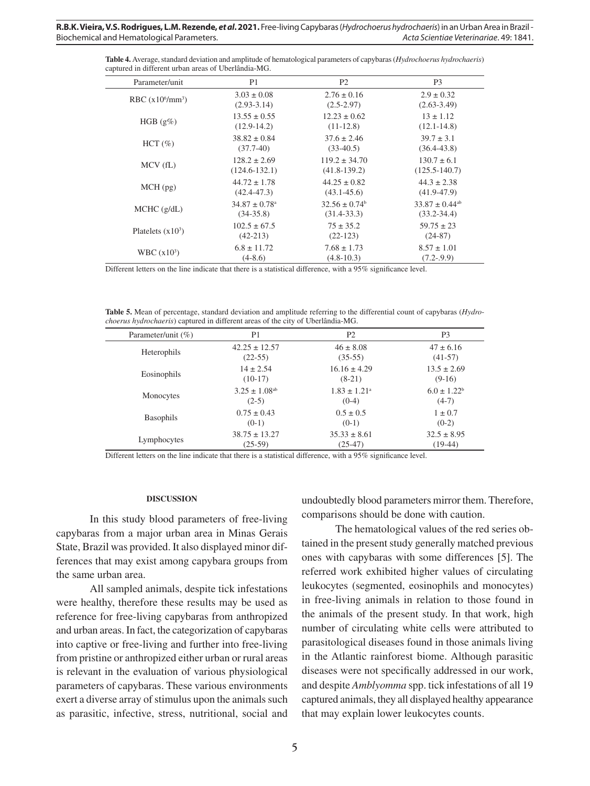**Table 4.** Average, standard deviation and amplitude of hematological parameters of capybaras (*Hydrochoerus hydrochaeris*) captured in different urban areas of Uberlândia-MG.

| Parameter/unit            | P <sub>1</sub>                | P <sub>2</sub>     | P <sub>3</sub>                 |
|---------------------------|-------------------------------|--------------------|--------------------------------|
| RBC $(x10^6/\text{mm}^3)$ | $3.03 \pm 0.08$               | $2.76 \pm 0.16$    | $2.9 \pm 0.32$                 |
|                           | $(2.93-3.14)$                 | $(2.5 - 2.97)$     | $(2.63 - 3.49)$                |
| HGB $(g\%)$               | $13.55 \pm 0.55$              | $12.23 \pm 0.62$   | $13 \pm 1.12$                  |
|                           | $(12.9-14.2)$                 | $(11-12.8)$        | $(12.1 - 14.8)$                |
| $HCT(\%)$                 | $38.82 \pm 0.84$              | $37.6 \pm 2.46$    | $39.7 \pm 3.1$                 |
|                           | $(37.7-40)$                   | $(33-40.5)$        | $(36.4 - 43.8)$                |
| $MCV$ (fL)                | $128.2 \pm 2.69$              | $119.2 \pm 34.70$  | $130.7 \pm 6.1$                |
|                           | $(124.6 - 132.1)$             | $(41.8 - 139.2)$   | $(125.5 - 140.7)$              |
| $MCH$ (pg)                | $44.72 \pm 1.78$              | $44.25 \pm 0.82$   | $44.3 \pm 2.38$                |
|                           | $(42.4 - 47.3)$               | $(43.1 - 45.6)$    | $(41.9 - 47.9)$                |
| $MCHC$ ( $g/dL$ )         | $34.87 \pm 0.78$ <sup>a</sup> | $32.56 \pm 0.74^b$ | $33.87 \pm 0.44$ <sup>ab</sup> |
|                           | $(34-35.8)$                   | $(31.4 - 33.3)$    | $(33.2 - 34.4)$                |
| Platelets $(x10^3)$       | $102.5 \pm 67.5$              | $75 \pm 35.2$      | $59.75 \pm 23$                 |
|                           | $(42-213)$                    | $(22-123)$         | $(24-87)$                      |
| WBC $(x10^3)$             | $6.8 \pm 11.72$               | $7.68 \pm 1.73$    | $8.57 \pm 1.01$                |
|                           | $(4-8.6)$                     | $(4.8-10.3)$       | $(7.2 - .9.9)$                 |

Different letters on the line indicate that there is a statistical difference, with a 95% significance level.

**Table 5.** Mean of percentage, standard deviation and amplitude referring to the differential count of capybaras (*Hydrochoerus hydrochaeris*) captured in different areas of the city of Uberlândia-MG.

| Parameter/unit $(\% )$ | P <sub>1</sub>                | P <sub>2</sub>          | P <sub>3</sub>   |
|------------------------|-------------------------------|-------------------------|------------------|
| Heterophils            | $42.25 \pm 12.57$             | $46 \pm 8.08$           | $47 \pm 6.16$    |
|                        | $(22-55)$                     | $(35-55)$               | $(41-57)$        |
| Eosinophils            | $14 \pm 2.54$                 | $16.16 \pm 4.29$        | $13.5 \pm 2.69$  |
|                        | $(10-17)$                     | $(8-21)$                | $(9-16)$         |
| Monocytes              | $3.25 \pm 1.08$ <sup>ab</sup> | $1.83 \pm 1.21^{\circ}$ | $6.0 \pm 1.22^b$ |
|                        | $(2-5)$                       | $(0-4)$                 | $(4-7)$          |
| <b>Basophils</b>       | $0.75 \pm 0.43$               | $0.5 \pm 0.5$           | $1 \pm 0.7$      |
|                        | $(0-1)$                       | $(0-1)$                 | $(0-2)$          |
| Lymphocytes            | $38.75 \pm 13.27$             | $35.33 \pm 8.61$        | $32.5 \pm 8.95$  |
|                        | $(25-59)$                     | $(25-47)$               | $(19-44)$        |

Different letters on the line indicate that there is a statistical difference, with a 95% significance level.

#### **DISCUSSION**

In this study blood parameters of free-living capybaras from a major urban area in Minas Gerais State, Brazil was provided. It also displayed minor differences that may exist among capybara groups from the same urban area.

All sampled animals, despite tick infestations were healthy, therefore these results may be used as reference for free-living capybaras from anthropized and urban areas. In fact, the categorization of capybaras into captive or free-living and further into free-living from pristine or anthropized either urban or rural areas is relevant in the evaluation of various physiological parameters of capybaras. These various environments exert a diverse array of stimulus upon the animals such as parasitic, infective, stress, nutritional, social and

undoubtedly blood parameters mirror them. Therefore, comparisons should be done with caution.

The hematological values of the red series obtained in the present study generally matched previous ones with capybaras with some differences [5]. The referred work exhibited higher values of circulating leukocytes (segmented, eosinophils and monocytes) in free-living animals in relation to those found in the animals of the present study. In that work, high number of circulating white cells were attributed to parasitological diseases found in those animals living in the Atlantic rainforest biome. Although parasitic diseases were not specifically addressed in our work, and despite *Amblyomma* spp. tick infestations of all 19 captured animals, they all displayed healthy appearance that may explain lower leukocytes counts.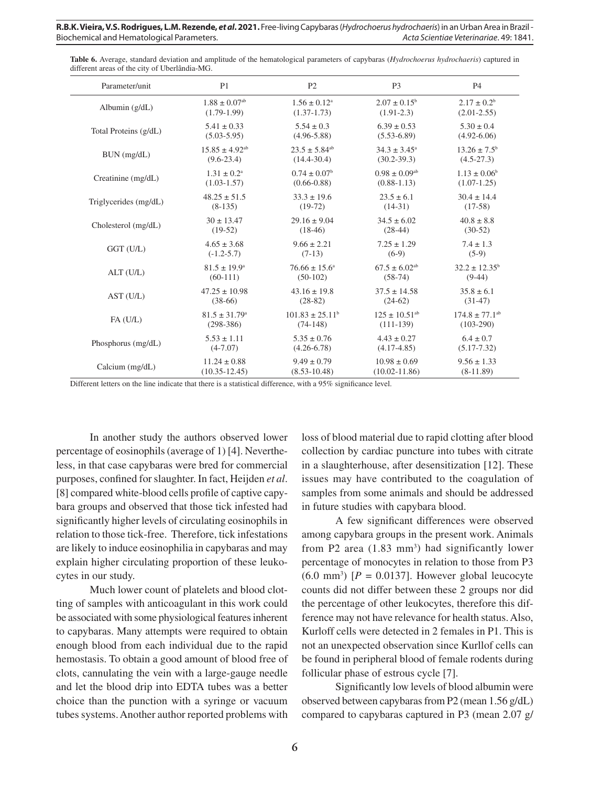| Table 6. Average, standard deviation and amplitude of the hematological parameters of capybaras (Hydrochoerus hydrochaeris) captured in |  |  |  |
|-----------------------------------------------------------------------------------------------------------------------------------------|--|--|--|
| different areas of the city of Uberlândia-MG.                                                                                           |  |  |  |

| Parameter/unit        | P <sub>1</sub>                 | P <sub>2</sub>                | P <sub>3</sub>                | P <sub>4</sub>                 |
|-----------------------|--------------------------------|-------------------------------|-------------------------------|--------------------------------|
| Albumin $(g/dL)$      | $1.88 \pm 0.07$ <sup>ab</sup>  | $1.56 \pm 0.12^a$             | $2.07 \pm 0.15^b$             | $2.17 \pm 0.2^b$               |
|                       | $(1.79-1.99)$                  | $(1.37-1.73)$                 | $(1.91-2.3)$                  | $(2.01 - 2.55)$                |
| Total Proteins (g/dL) | $5.41 \pm 0.33$                | $5.54 \pm 0.3$                | $6.39 \pm 0.53$               | $5.30 \pm 0.4$                 |
|                       | $(5.03 - 5.95)$                | $(4.96 - 5.88)$               | $(5.53 - 6.89)$               | $(4.92 - 6.06)$                |
| BUN (mg/dL)           | $15.85 \pm 4.92$ <sup>ab</sup> | $23.5 \pm 5.84$ <sup>ab</sup> | $34.3 \pm 3.45^{\circ}$       | $13.26 \pm 7.5^{\circ}$        |
|                       | $(9.6 - 23.4)$                 | $(14.4 - 30.4)$               | $(30.2 - 39.3)$               | $(4.5-27.3)$                   |
| Creatinine $(mg/dL)$  | $1.31 \pm 0.2^{\text{a}}$      | $0.74 \pm 0.07^{\rm b}$       | $0.98 \pm 0.09$ <sup>ab</sup> | $1.13 \pm 0.06^b$              |
|                       | $(1.03 - 1.57)$                | $(0.66 - 0.88)$               | $(0.88 - 1.13)$               | $(1.07-1.25)$                  |
| Triglycerides (mg/dL) | $48.25 \pm 51.5$               | $33.3 \pm 19.6$               | $23.5 \pm 6.1$                | $30.4 \pm 14.4$                |
|                       | $(8-135)$                      | $(19-72)$                     | $(14-31)$                     | $(17-58)$                      |
| Cholesterol (mg/dL)   | $30 \pm 13.47$                 | $29.16 \pm 9.04$              | $34.5 \pm 6.02$               | $40.8 \pm 8.8$                 |
|                       | $(19-52)$                      | $(18-46)$                     | $(28-44)$                     | $(30-52)$                      |
| GGT (U/L)             | $4.65 \pm 3.68$                | $9.66 \pm 2.21$               | $7.25 \pm 1.29$               | $7.4 \pm 1.3$                  |
|                       | $(-1.2-5.7)$                   | $(7-13)$                      | $(6-9)$                       | $(5-9)$                        |
| ALT (U/L)             | $81.5 \pm 19.9^{\circ}$        | $76.66 \pm 15.6^{\circ}$      | $67.5 \pm 6.02$ <sup>ab</sup> | $32.2 \pm 12.35^b$             |
|                       | $(60-111)$                     | $(50-102)$                    | $(58-74)$                     | $(9-44)$                       |
| AST (U/L)             | $47.25 \pm 10.98$              | $43.16 \pm 19.8$              | $37.5 \pm 14.58$              | $35.8 \pm 6.1$                 |
|                       | $(38-66)$                      | $(28-82)$                     | $(24-62)$                     | $(31-47)$                      |
| FA(U/L)               | $81.5 \pm 31.79$ <sup>a</sup>  | $101.83 \pm 25.11^b$          | $125 \pm 10.51$ <sup>ab</sup> | $174.8 \pm 77.1$ <sup>ab</sup> |
|                       | $(298-386)$                    | $(74-148)$                    | $(111-139)$                   | $(103-290)$                    |
| Phosphorus (mg/dL)    | $5.53 \pm 1.11$                | $5.35 \pm 0.76$               | $4.43 \pm 0.27$               | $6.4 \pm 0.7$                  |
|                       | $(4-7.07)$                     | $(4.26 - 6.78)$               | $(4.17-4.85)$                 | $(5.17 - 7.32)$                |
| Calcium $(mg/dL)$     | $11.24 \pm 0.88$               | $9.49 \pm 0.79$               | $10.98 \pm 0.69$              | $9.56 \pm 1.33$                |
|                       | $(10.35 - 12.45)$              | $(8.53 - 10.48)$              | $(10.02 - 11.86)$             | $(8-11.89)$                    |

Different letters on the line indicate that there is a statistical difference, with a 95% significance level.

In another study the authors observed lower percentage of eosinophils (average of 1) [4]. Nevertheless, in that case capybaras were bred for commercial purposes, confined for slaughter. In fact, Heijden *et al*. [8] compared white-blood cells profile of captive capybara groups and observed that those tick infested had significantly higher levels of circulating eosinophils in relation to those tick-free. Therefore, tick infestations are likely to induce eosinophilia in capybaras and may explain higher circulating proportion of these leukocytes in our study.

Much lower count of platelets and blood clotting of samples with anticoagulant in this work could be associated with some physiological features inherent to capybaras. Many attempts were required to obtain enough blood from each individual due to the rapid hemostasis. To obtain a good amount of blood free of clots, cannulating the vein with a large-gauge needle and let the blood drip into EDTA tubes was a better choice than the punction with a syringe or vacuum tubes systems. Another author reported problems with loss of blood material due to rapid clotting after blood collection by cardiac puncture into tubes with citrate in a slaughterhouse, after desensitization [12]. These issues may have contributed to the coagulation of samples from some animals and should be addressed in future studies with capybara blood.

A few significant differences were observed among capybara groups in the present work. Animals from P2 area  $(1.83 \text{ mm}^3)$  had significantly lower percentage of monocytes in relation to those from P3  $(6.0 \text{ mm}^3)$  [ $P = 0.0137$ ]. However global leucocyte counts did not differ between these 2 groups nor did the percentage of other leukocytes, therefore this difference may not have relevance for health status. Also, Kurloff cells were detected in 2 females in P1. This is not an unexpected observation since Kurllof cells can be found in peripheral blood of female rodents during follicular phase of estrous cycle [7].

Significantly low levels of blood albumin were observed between capybaras from P2 (mean 1.56 g/dL) compared to capybaras captured in P3 (mean 2.07 g/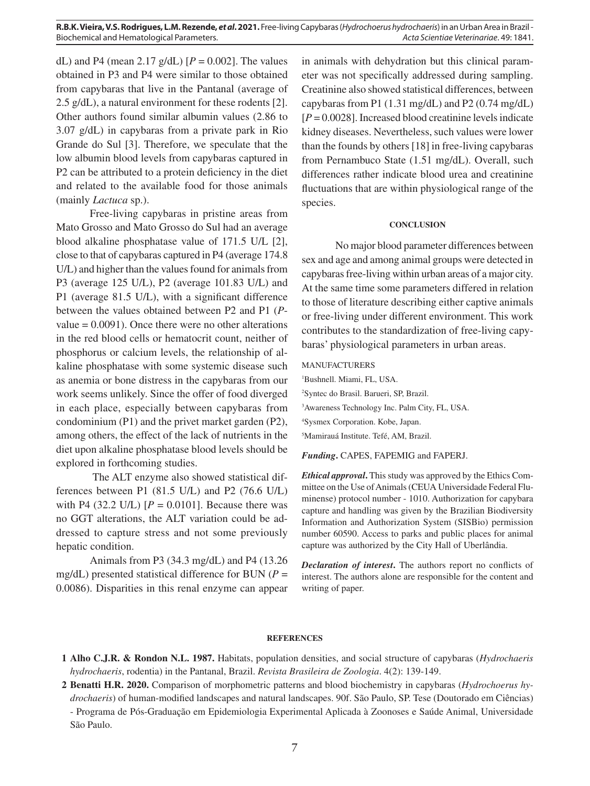**R.B.K. Vieira, V.S. Rodrigues, L.M. Rezende,** *et al***. 2021.** Free-living Capybaras (*Hydrochoerus hydrochaeris*) in an Urban Area in Brazil - Biochemical and Hematological Parameters. *Acta Scientiae Veterinariae*. 49: 1841.

dL) and P4 (mean 2.17  $g/dL$ )  $[P = 0.002]$ . The values obtained in P3 and P4 were similar to those obtained from capybaras that live in the Pantanal (average of 2.5 g/dL), a natural environment for these rodents [2]. Other authors found similar albumin values (2.86 to 3.07 g/dL) in capybaras from a private park in Rio Grande do Sul [3]. Therefore, we speculate that the low albumin blood levels from capybaras captured in P2 can be attributed to a protein deficiency in the diet and related to the available food for those animals (mainly *Lactuca* sp.).

Free-living capybaras in pristine areas from Mato Grosso and Mato Grosso do Sul had an average blood alkaline phosphatase value of 171.5 U/L [2], close to that of capybaras captured in P4 (average 174.8 U/L) and higher than the values found for animals from P3 (average 125 U/L), P2 (average 101.83 U/L) and P1 (average 81.5 U/L), with a significant difference between the values obtained between P2 and P1 (*P*value  $= 0.0091$ ). Once there were no other alterations in the red blood cells or hematocrit count, neither of phosphorus or calcium levels, the relationship of alkaline phosphatase with some systemic disease such as anemia or bone distress in the capybaras from our work seems unlikely. Since the offer of food diverged in each place, especially between capybaras from condominium (P1) and the privet market garden (P2), among others, the effect of the lack of nutrients in the diet upon alkaline phosphatase blood levels should be explored in forthcoming studies.

 The ALT enzyme also showed statistical differences between P1 (81.5 U/L) and P2 (76.6 U/L) with P4 (32.2 U/L)  $[P = 0.0101]$ . Because there was no GGT alterations, the ALT variation could be addressed to capture stress and not some previously hepatic condition.

Animals from P3 (34.3 mg/dL) and P4 (13.26 mg/dL) presented statistical difference for BUN ( $P =$ 0.0086). Disparities in this renal enzyme can appear in animals with dehydration but this clinical parameter was not specifically addressed during sampling. Creatinine also showed statistical differences, between capybaras from P1 (1.31 mg/dL) and P2 (0.74 mg/dL) [*P* = 0.0028]. Increased blood creatinine levels indicate kidney diseases. Nevertheless, such values were lower than the founds by others [18] in free-living capybaras from Pernambuco State (1.51 mg/dL). Overall, such differences rather indicate blood urea and creatinine fluctuations that are within physiological range of the species.

#### **CONCLUSION**

No major blood parameter differences between sex and age and among animal groups were detected in capybaras free-living within urban areas of a major city. At the same time some parameters differed in relation to those of literature describing either captive animals or free-living under different environment. This work contributes to the standardization of free-living capybaras' physiological parameters in urban areas.

#### MANUFACTURERS

 Bushnell. Miami, FL, USA. Syntec do Brasil. Barueri, SP, Brazil. Awareness Technology Inc. Palm City, FL, USA. Sysmex Corporation. Kobe, Japan. Mamirauá Institute. Tefé, AM, Brazil.

*Funding***.** CAPES, FAPEMIG and FAPERJ.

*Ethical approval***.** This study was approved by the Ethics Committee on the Use of Animals (CEUA Universidade Federal Fluminense) protocol number - 1010. Authorization for capybara capture and handling was given by the Brazilian Biodiversity Information and Authorization System (SISBio) permission number 60590. Access to parks and public places for animal capture was authorized by the City Hall of Uberlândia.

*Declaration of interest***.** The authors report no conflicts of interest. The authors alone are responsible for the content and writing of paper.

#### **REFERENCES**

**1 Alho C.J.R. & Rondon N.L. 1987.** Habitats, population densities, and social structure of capybaras (*Hydrochaeris hydrochaeris*, rodentia) in the Pantanal, Brazil. *Revista Brasileira de Zoologia*. 4(2): 139-149.

**2 Benatti H.R. 2020.** Comparison of morphometric patterns and blood biochemistry in capybaras (*Hydrochoerus hydrochaeris*) of human-modified landscapes and natural landscapes. 90f. São Paulo, SP. Tese (Doutorado em Ciências)

- Programa de Pós-Graduação em Epidemiologia Experimental Aplicada à Zoonoses e Saúde Animal, Universidade São Paulo.